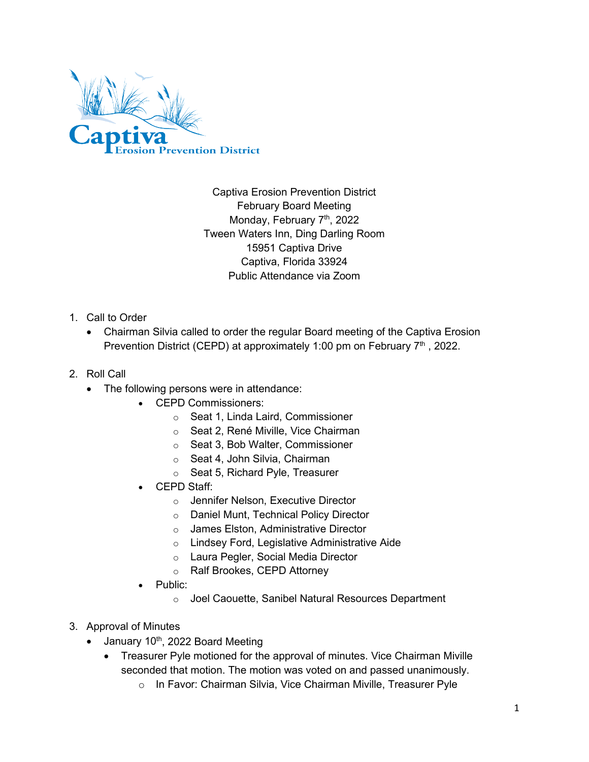

Captiva Erosion Prevention District February Board Meeting Monday, February 7<sup>th</sup>, 2022 Tween Waters Inn, Ding Darling Room 15951 Captiva Drive Captiva, Florida 33924 Public Attendance via Zoom

- 1. Call to Order
	- Chairman Silvia called to order the regular Board meeting of the Captiva Erosion Prevention District (CEPD) at approximately 1:00 pm on February  $7<sup>th</sup>$ , 2022.
- 2. Roll Call
	- The following persons were in attendance:
		- CEPD Commissioners:
			- o Seat 1, Linda Laird, Commissioner
			- o Seat 2, René Miville, Vice Chairman
			- o Seat 3, Bob Walter, Commissioner
			- o Seat 4, John Silvia, Chairman
			- o Seat 5, Richard Pyle, Treasurer
		- CEPD Staff:
			- o Jennifer Nelson, Executive Director
			- o Daniel Munt, Technical Policy Director
			- o James Elston, Administrative Director
			- o Lindsey Ford, Legislative Administrative Aide
			- o Laura Pegler, Social Media Director
			- o Ralf Brookes, CEPD Attorney
		- Public:
			- o Joel Caouette, Sanibel Natural Resources Department
- 3. Approval of Minutes
	- $\bullet$  January 10<sup>th</sup>, 2022 Board Meeting
		- Treasurer Pyle motioned for the approval of minutes. Vice Chairman Miville seconded that motion. The motion was voted on and passed unanimously.
			- o In Favor: Chairman Silvia, Vice Chairman Miville, Treasurer Pyle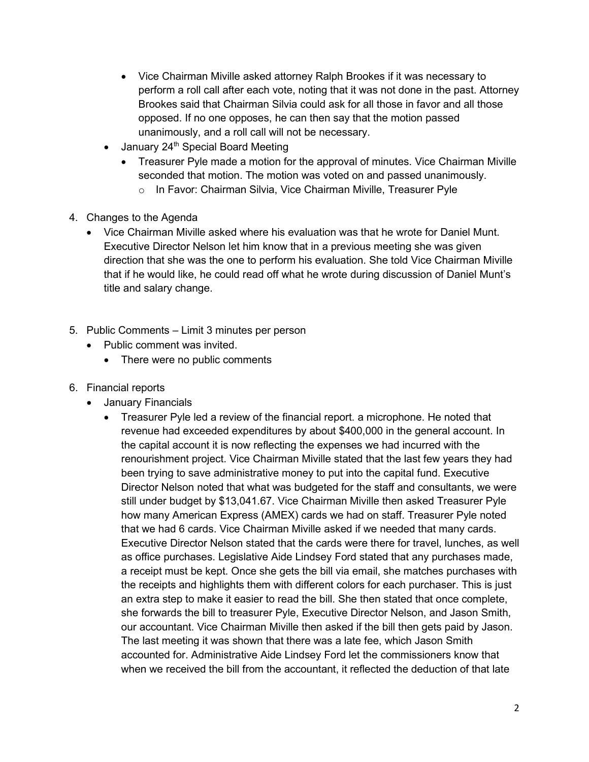- Vice Chairman Miville asked attorney Ralph Brookes if it was necessary to perform a roll call after each vote, noting that it was not done in the past. Attorney Brookes said that Chairman Silvia could ask for all those in favor and all those opposed. If no one opposes, he can then say that the motion passed unanimously, and a roll call will not be necessary.
- January  $24<sup>th</sup>$  Special Board Meeting
	- Treasurer Pyle made a motion for the approval of minutes. Vice Chairman Miville seconded that motion. The motion was voted on and passed unanimously.
		- o In Favor: Chairman Silvia, Vice Chairman Miville, Treasurer Pyle
- 4. Changes to the Agenda
	- Vice Chairman Miville asked where his evaluation was that he wrote for Daniel Munt. Executive Director Nelson let him know that in a previous meeting she was given direction that she was the one to perform his evaluation. She told Vice Chairman Miville that if he would like, he could read off what he wrote during discussion of Daniel Munt's title and salary change.
- 5. Public Comments Limit 3 minutes per person
	- Public comment was invited.
		- There were no public comments
- 6. Financial reports
	- January Financials
		- Treasurer Pyle led a review of the financial report. a microphone. He noted that revenue had exceeded expenditures by about \$400,000 in the general account. In the capital account it is now reflecting the expenses we had incurred with the renourishment project. Vice Chairman Miville stated that the last few years they had been trying to save administrative money to put into the capital fund. Executive Director Nelson noted that what was budgeted for the staff and consultants, we were still under budget by \$13,041.67. Vice Chairman Miville then asked Treasurer Pyle how many American Express (AMEX) cards we had on staff. Treasurer Pyle noted that we had 6 cards. Vice Chairman Miville asked if we needed that many cards. Executive Director Nelson stated that the cards were there for travel, lunches, as well as office purchases. Legislative Aide Lindsey Ford stated that any purchases made, a receipt must be kept. Once she gets the bill via email, she matches purchases with the receipts and highlights them with different colors for each purchaser. This is just an extra step to make it easier to read the bill. She then stated that once complete, she forwards the bill to treasurer Pyle, Executive Director Nelson, and Jason Smith, our accountant. Vice Chairman Miville then asked if the bill then gets paid by Jason. The last meeting it was shown that there was a late fee, which Jason Smith accounted for. Administrative Aide Lindsey Ford let the commissioners know that when we received the bill from the accountant, it reflected the deduction of that late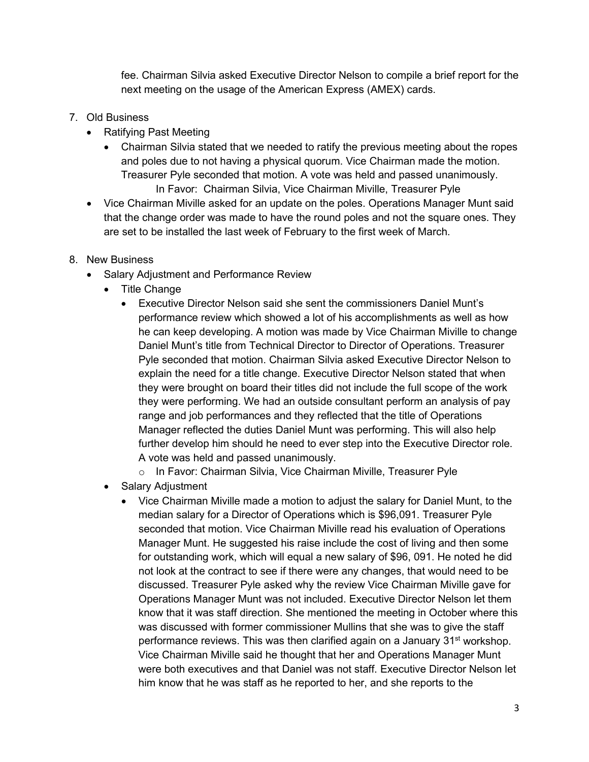fee. Chairman Silvia asked Executive Director Nelson to compile a brief report for the next meeting on the usage of the American Express (AMEX) cards.

- 7. Old Business
	- Ratifying Past Meeting
		- Chairman Silvia stated that we needed to ratify the previous meeting about the ropes and poles due to not having a physical quorum. Vice Chairman made the motion. Treasurer Pyle seconded that motion. A vote was held and passed unanimously. In Favor: Chairman Silvia, Vice Chairman Miville, Treasurer Pyle
	- Vice Chairman Miville asked for an update on the poles. Operations Manager Munt said that the change order was made to have the round poles and not the square ones. They are set to be installed the last week of February to the first week of March.
- 8. New Business
	- Salary Adjustment and Performance Review
		- Title Change
			- Executive Director Nelson said she sent the commissioners Daniel Munt's performance review which showed a lot of his accomplishments as well as how he can keep developing. A motion was made by Vice Chairman Miville to change Daniel Munt's title from Technical Director to Director of Operations. Treasurer Pyle seconded that motion. Chairman Silvia asked Executive Director Nelson to explain the need for a title change. Executive Director Nelson stated that when they were brought on board their titles did not include the full scope of the work they were performing. We had an outside consultant perform an analysis of pay range and job performances and they reflected that the title of Operations Manager reflected the duties Daniel Munt was performing. This will also help further develop him should he need to ever step into the Executive Director role. A vote was held and passed unanimously.

o In Favor: Chairman Silvia, Vice Chairman Miville, Treasurer Pyle

- Salary Adjustment
	- Vice Chairman Miville made a motion to adjust the salary for Daniel Munt, to the median salary for a Director of Operations which is \$96,091. Treasurer Pyle seconded that motion. Vice Chairman Miville read his evaluation of Operations Manager Munt. He suggested his raise include the cost of living and then some for outstanding work, which will equal a new salary of \$96, 091. He noted he did not look at the contract to see if there were any changes, that would need to be discussed. Treasurer Pyle asked why the review Vice Chairman Miville gave for Operations Manager Munt was not included. Executive Director Nelson let them know that it was staff direction. She mentioned the meeting in October where this was discussed with former commissioner Mullins that she was to give the staff performance reviews. This was then clarified again on a January 31<sup>st</sup> workshop. Vice Chairman Miville said he thought that her and Operations Manager Munt were both executives and that Daniel was not staff. Executive Director Nelson let him know that he was staff as he reported to her, and she reports to the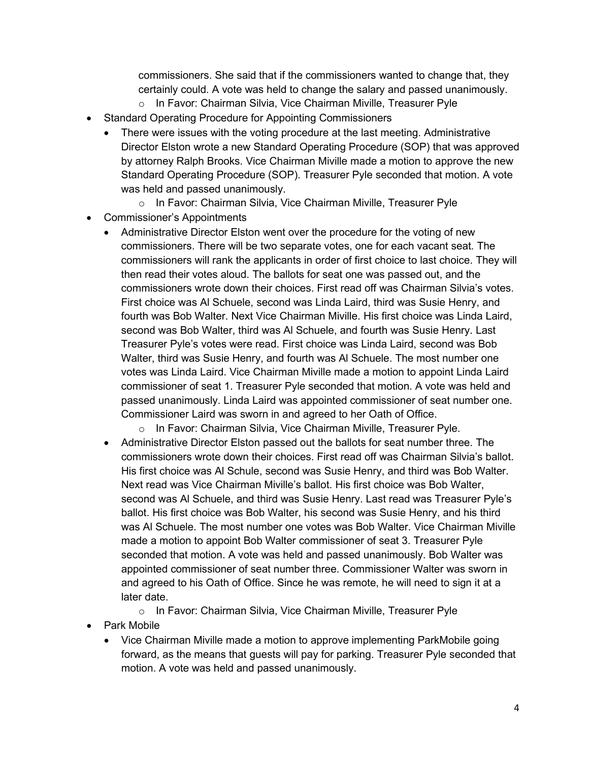commissioners. She said that if the commissioners wanted to change that, they certainly could. A vote was held to change the salary and passed unanimously.

- o In Favor: Chairman Silvia, Vice Chairman Miville, Treasurer Pyle
- Standard Operating Procedure for Appointing Commissioners
	- There were issues with the voting procedure at the last meeting. Administrative Director Elston wrote a new Standard Operating Procedure (SOP) that was approved by attorney Ralph Brooks. Vice Chairman Miville made a motion to approve the new Standard Operating Procedure (SOP). Treasurer Pyle seconded that motion. A vote was held and passed unanimously.
		- o In Favor: Chairman Silvia, Vice Chairman Miville, Treasurer Pyle
- Commissioner's Appointments
	- Administrative Director Elston went over the procedure for the voting of new commissioners. There will be two separate votes, one for each vacant seat. The commissioners will rank the applicants in order of first choice to last choice. They will then read their votes aloud. The ballots for seat one was passed out, and the commissioners wrote down their choices. First read off was Chairman Silvia's votes. First choice was Al Schuele, second was Linda Laird, third was Susie Henry, and fourth was Bob Walter. Next Vice Chairman Miville. His first choice was Linda Laird, second was Bob Walter, third was Al Schuele, and fourth was Susie Henry. Last Treasurer Pyle's votes were read. First choice was Linda Laird, second was Bob Walter, third was Susie Henry, and fourth was Al Schuele. The most number one votes was Linda Laird. Vice Chairman Miville made a motion to appoint Linda Laird commissioner of seat 1. Treasurer Pyle seconded that motion. A vote was held and passed unanimously. Linda Laird was appointed commissioner of seat number one. Commissioner Laird was sworn in and agreed to her Oath of Office.
		- o In Favor: Chairman Silvia, Vice Chairman Miville, Treasurer Pyle.
	- Administrative Director Elston passed out the ballots for seat number three. The commissioners wrote down their choices. First read off was Chairman Silvia's ballot. His first choice was Al Schule, second was Susie Henry, and third was Bob Walter. Next read was Vice Chairman Miville's ballot. His first choice was Bob Walter, second was Al Schuele, and third was Susie Henry. Last read was Treasurer Pyle's ballot. His first choice was Bob Walter, his second was Susie Henry, and his third was Al Schuele. The most number one votes was Bob Walter. Vice Chairman Miville made a motion to appoint Bob Walter commissioner of seat 3. Treasurer Pyle seconded that motion. A vote was held and passed unanimously. Bob Walter was appointed commissioner of seat number three. Commissioner Walter was sworn in and agreed to his Oath of Office. Since he was remote, he will need to sign it at a later date.

o In Favor: Chairman Silvia, Vice Chairman Miville, Treasurer Pyle

- Park Mobile
	- Vice Chairman Miville made a motion to approve implementing ParkMobile going forward, as the means that guests will pay for parking. Treasurer Pyle seconded that motion. A vote was held and passed unanimously.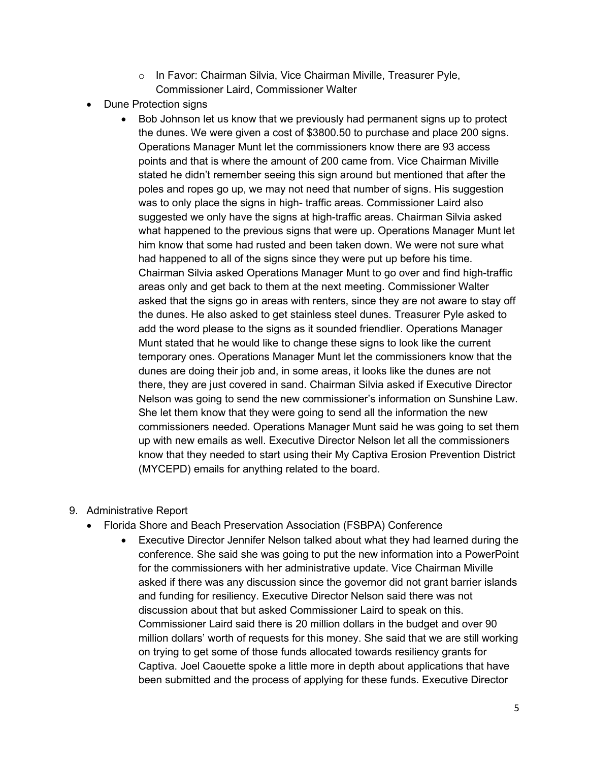- o In Favor: Chairman Silvia, Vice Chairman Miville, Treasurer Pyle, Commissioner Laird, Commissioner Walter
- Dune Protection signs
	- Bob Johnson let us know that we previously had permanent signs up to protect the dunes. We were given a cost of \$3800.50 to purchase and place 200 signs. Operations Manager Munt let the commissioners know there are 93 access points and that is where the amount of 200 came from. Vice Chairman Miville stated he didn't remember seeing this sign around but mentioned that after the poles and ropes go up, we may not need that number of signs. His suggestion was to only place the signs in high- traffic areas. Commissioner Laird also suggested we only have the signs at high-traffic areas. Chairman Silvia asked what happened to the previous signs that were up. Operations Manager Munt let him know that some had rusted and been taken down. We were not sure what had happened to all of the signs since they were put up before his time. Chairman Silvia asked Operations Manager Munt to go over and find high-traffic areas only and get back to them at the next meeting. Commissioner Walter asked that the signs go in areas with renters, since they are not aware to stay off the dunes. He also asked to get stainless steel dunes. Treasurer Pyle asked to add the word please to the signs as it sounded friendlier. Operations Manager Munt stated that he would like to change these signs to look like the current temporary ones. Operations Manager Munt let the commissioners know that the dunes are doing their job and, in some areas, it looks like the dunes are not there, they are just covered in sand. Chairman Silvia asked if Executive Director Nelson was going to send the new commissioner's information on Sunshine Law. She let them know that they were going to send all the information the new commissioners needed. Operations Manager Munt said he was going to set them up with new emails as well. Executive Director Nelson let all the commissioners know that they needed to start using their My Captiva Erosion Prevention District (MYCEPD) emails for anything related to the board.
- 9. Administrative Report
	- Florida Shore and Beach Preservation Association (FSBPA) Conference
		- Executive Director Jennifer Nelson talked about what they had learned during the conference. She said she was going to put the new information into a PowerPoint for the commissioners with her administrative update. Vice Chairman Miville asked if there was any discussion since the governor did not grant barrier islands and funding for resiliency. Executive Director Nelson said there was not discussion about that but asked Commissioner Laird to speak on this. Commissioner Laird said there is 20 million dollars in the budget and over 90 million dollars' worth of requests for this money. She said that we are still working on trying to get some of those funds allocated towards resiliency grants for Captiva. Joel Caouette spoke a little more in depth about applications that have been submitted and the process of applying for these funds. Executive Director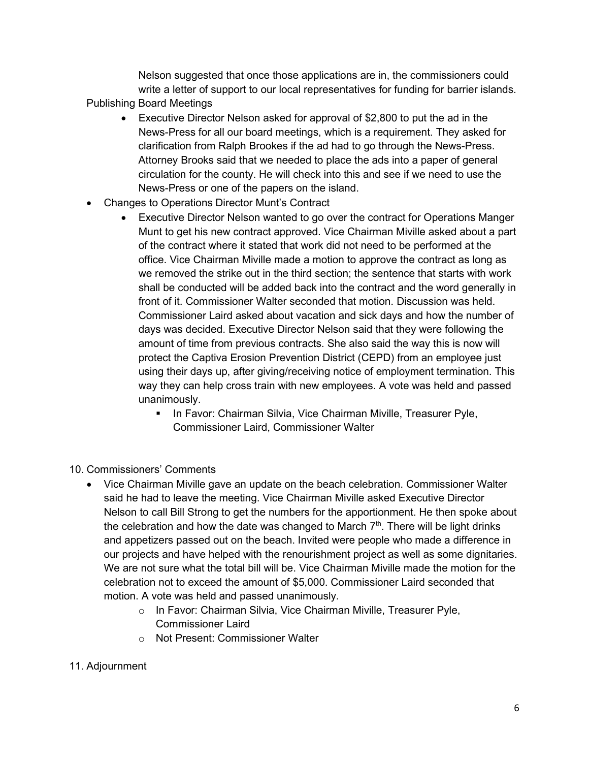Nelson suggested that once those applications are in, the commissioners could write a letter of support to our local representatives for funding for barrier islands. Publishing Board Meetings

- Executive Director Nelson asked for approval of \$2,800 to put the ad in the News-Press for all our board meetings, which is a requirement. They asked for clarification from Ralph Brookes if the ad had to go through the News-Press. Attorney Brooks said that we needed to place the ads into a paper of general circulation for the county. He will check into this and see if we need to use the News-Press or one of the papers on the island.
- Changes to Operations Director Munt's Contract
	- Executive Director Nelson wanted to go over the contract for Operations Manger Munt to get his new contract approved. Vice Chairman Miville asked about a part of the contract where it stated that work did not need to be performed at the office. Vice Chairman Miville made a motion to approve the contract as long as we removed the strike out in the third section; the sentence that starts with work shall be conducted will be added back into the contract and the word generally in front of it. Commissioner Walter seconded that motion. Discussion was held. Commissioner Laird asked about vacation and sick days and how the number of days was decided. Executive Director Nelson said that they were following the amount of time from previous contracts. She also said the way this is now will protect the Captiva Erosion Prevention District (CEPD) from an employee just using their days up, after giving/receiving notice of employment termination. This way they can help cross train with new employees. A vote was held and passed unanimously.
		- **In Favor: Chairman Silvia, Vice Chairman Miville, Treasurer Pyle,** Commissioner Laird, Commissioner Walter
- 10. Commissioners' Comments
	- Vice Chairman Miville gave an update on the beach celebration. Commissioner Walter said he had to leave the meeting. Vice Chairman Miville asked Executive Director Nelson to call Bill Strong to get the numbers for the apportionment. He then spoke about the celebration and how the date was changed to March  $7<sup>th</sup>$ . There will be light drinks and appetizers passed out on the beach. Invited were people who made a difference in our projects and have helped with the renourishment project as well as some dignitaries. We are not sure what the total bill will be. Vice Chairman Miville made the motion for the celebration not to exceed the amount of \$5,000. Commissioner Laird seconded that motion. A vote was held and passed unanimously.
		- o In Favor: Chairman Silvia, Vice Chairman Miville, Treasurer Pyle, Commissioner Laird
		- o Not Present: Commissioner Walter
- 11. Adjournment